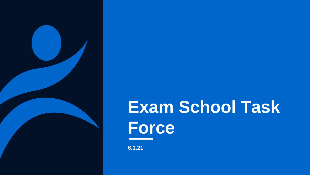

# **Exam School Task Force**

**6.1.21**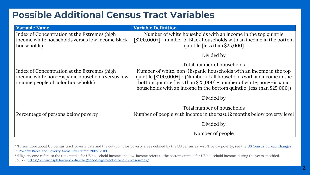## **Possible Additional Census Tract Variables**

| <b>Variable Name</b>                                                                                                                  | <b>Variable Definition</b>                                                                                                                                                                                                                                                                                   |
|---------------------------------------------------------------------------------------------------------------------------------------|--------------------------------------------------------------------------------------------------------------------------------------------------------------------------------------------------------------------------------------------------------------------------------------------------------------|
| Index of Concentration at the Extremes (high<br>income white households versus low income Black<br>households)                        | Number of white households with an income in the top quintile<br>$\lceil $100,000+ \rceil$ - number of Black households with an income in the bottom<br>quintile [less than \$25,000]                                                                                                                        |
|                                                                                                                                       | Divided by                                                                                                                                                                                                                                                                                                   |
|                                                                                                                                       | Total number of households                                                                                                                                                                                                                                                                                   |
| Index of Concentration at the Extremes (high<br>income white non-Hispanic households versus low<br>income people of color households) | Number of white, non-Hispanic households with an income in the top<br>quintile $\lceil $100,000+ \rceil$ - (Number of all households with an income in the<br>bottom quintile [less than \$25,000] - number of white, non-Hispanic<br>households with an income in the bottom quintile [less than \$25,000]) |
|                                                                                                                                       | Divided by                                                                                                                                                                                                                                                                                                   |
|                                                                                                                                       | Total number of households                                                                                                                                                                                                                                                                                   |
| Percentage of persons below poverty                                                                                                   | Number of people with income in the past 12 months below poverty level                                                                                                                                                                                                                                       |
|                                                                                                                                       | Divided by                                                                                                                                                                                                                                                                                                   |
|                                                                                                                                       | Number of people                                                                                                                                                                                                                                                                                             |

[\\* To see more about US census tract poverty data and the cut-point for poverty areas defined by the US census as >=20% below poverty, see the US Census Bureau Changes](https://www.census.gov/library/publications/2020/acs/acsbr20-08.html) in Poverty Rates and Poverty Areas Over Time: 2005-2019.

\*\*High-income refers to the top quintile for US household income and low-income refers to the bottom quintile for US household income, during the years specified. Source: <https://www.hsph.harvard.edu/thegeocodingproject/covid-19-resources/>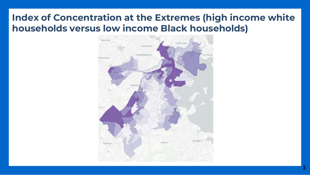## **Index of Concentration at the Extremes (high income white households versus low income Black households)**

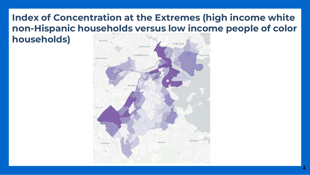### **Index of Concentration at the Extremes (high income white non-Hispanic households versus low income people of color households)**

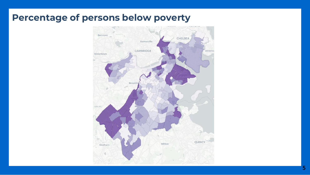#### **Percentage of persons below poverty**